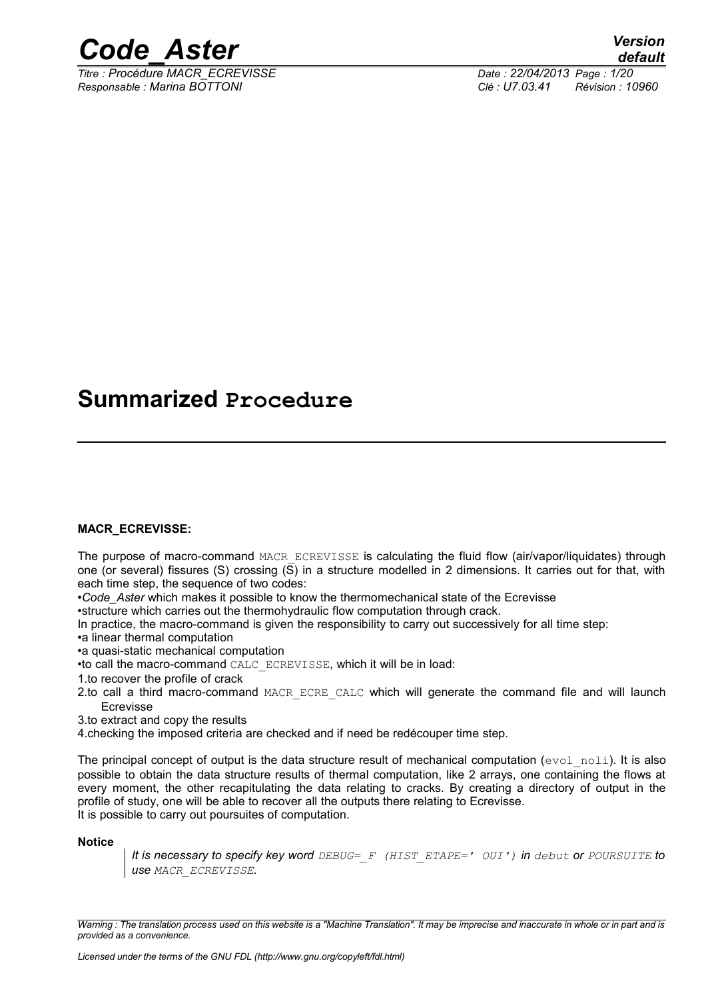

*Titre : Procédure MACR\_ECREVISSE Date : 22/04/2013 Page : 1/20 Responsable : Marina BOTTONI Clé : U7.03.41 Révision : 10960*

## **Summarized Procedure**

#### **MACR\_ECREVISSE:**

The purpose of macro-command MACR ECREVISSE is calculating the fluid flow (air/vapor/liquidates) through one (or several) fissures (S) crossing (S) in a structure modelled in 2 dimensions. It carries out for that, with each time step, the sequence of two codes:

•*Code\_Aster* which makes it possible to know the thermomechanical state of the Ecrevisse

•structure which carries out the thermohydraulic flow computation through crack.

In practice, the macro-command is given the responsibility to carry out successively for all time step:

•a linear thermal computation

•a quasi-static mechanical computation

•to call the macro-command CALC\_ECREVISSE, which it will be in load:

1.to recover the profile of crack

- 2.to call a third macro-command MACR ECRE CALC which will generate the command file and will launch Ecrevisse
- 3.to extract and copy the results

4.checking the imposed criteria are checked and if need be redécouper time step.

The principal concept of output is the data structure result of mechanical computation ( $evol\_noli$ ). It is also possible to obtain the data structure results of thermal computation, like 2 arrays, one containing the flows at every moment, the other recapitulating the data relating to cracks. By creating a directory of output in the profile of study, one will be able to recover all the outputs there relating to Ecrevisse. It is possible to carry out poursuites of computation.

#### **Notice**

*It is necessary to specify key word DEBUG=\_F (HIST\_ETAPE=' OUI') in debut or POURSUITE to use MACR\_ECREVISSE.*

*Warning : The translation process used on this website is a "Machine Translation". It may be imprecise and inaccurate in whole or in part and is provided as a convenience.*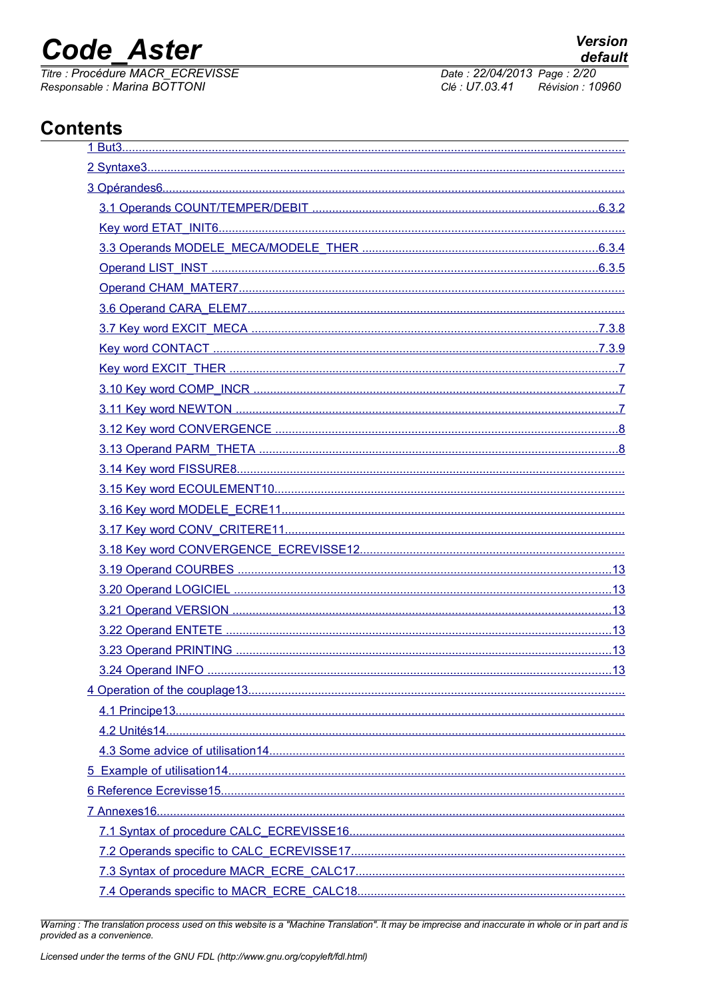# **Code Aster**

Titre : Procédure MACR\_ECREVISSE Responsable : Marina BOTTONI

Date: 22/04/2013 Page: 2/20 Clé : U7.03.41 Révision : 10960

## **Contents**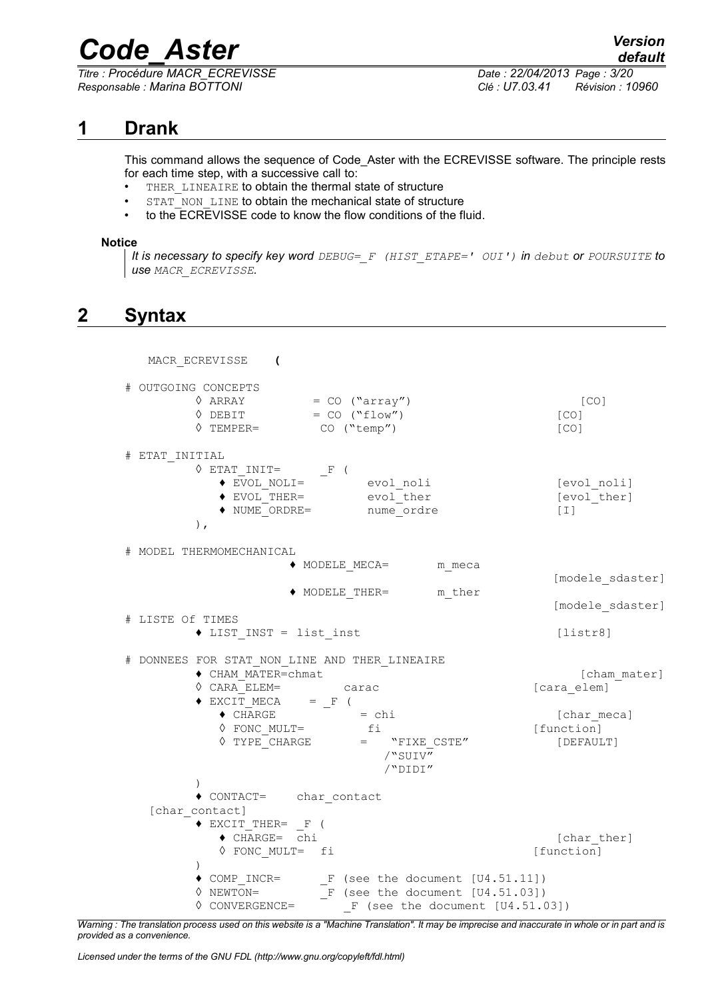*Titre : Procédure MACR\_ECREVISSE Date : 22/04/2013 Page : 3/20 Responsable : Marina BOTTONI Clé : U7.03.41 Révision : 10960*

## **1 Drank**

<span id="page-2-0"></span>This command allows the sequence of Code\_Aster with the ECREVISSE software. The principle rests for each time step, with a successive call to:

- THER LINEAIRE to obtain the thermal state of structure
- STAT\_NON\_LINE to obtain the mechanical state of structure
- to the ECREVISSE code to know the flow conditions of the fluid.

#### **Notice**

*It is necessary to specify key word DEBUG=\_F (HIST\_ETAPE=' OUI') in debut or POURSUITE to use MACR\_ECREVISSE.*

## <span id="page-2-1"></span>**2 Syntax**

MACR\_ECREVISSE **(** # OUTGOING CONCEPTS  $\Diamond$  ARRAY = CO ("array") [CO]  $\Diamond$  DEBIT = CO ("flow") [CO] ◊ TEMPER= CO ("temp") [CO] # ETAT\_INITIAL  $\Diamond$  ETAT\_INIT=  $\Box$ F ( ♦ EVOL\_NOLI= evol\_noli [evol\_noli] ◆ EVOL THER= evol ther [evol ther] ◆ NUME ORDRE= nume\_ordre [I] ), # MODEL THERMOMECHANICAL ♦ MODELE\_MECA= m\_meca [modele\_sdaster] ♦ MODELE\_THER= m\_ther [modele\_sdaster] # LISTE Of TIMES ◆ LIST INST = list inst [listr8] # DONNEES FOR STAT\_NON\_LINE AND THER\_LINEAIRE ♦ CHAM\_MATER=chmat [cham\_mater] ◊ CARA\_ELEM= carac [cara\_elem]  $\triangle$  EXCIT\_MECA =  $_F$  (  $\bullet$  CHARGE  $=$  chi  $[char\;meca]$ ◊ FONC\_MULT= fi [function]  $\sqrt{V} = V = V = V = V$   $V = V = V$   $V = V = V$   $V = V = V$ /"SUIV" /"DIDI" ) ♦ CONTACT= char\_contact [char contact] ♦ EXCIT\_THER= \_F ( ◆ CHARGE= chi [charther] ◊ FONC\_MULT= fi [function] ) ♦ COMP\_INCR= \_F (see the document [U4.51.11])  $\sqrt[6]{NEWTON}$  =  $\sqrt[6]{F}$  (see the document  $[U4.51.03]$ )  $\sqrt[6]{}$  CONVERGENCE=  $\sqrt{}$  F (see the document [U4.51.03])

*Warning : The translation process used on this website is a "Machine Translation". It may be imprecise and inaccurate in whole or in part and is provided as a convenience.*

*Licensed under the terms of the GNU FDL (http://www.gnu.org/copyleft/fdl.html)*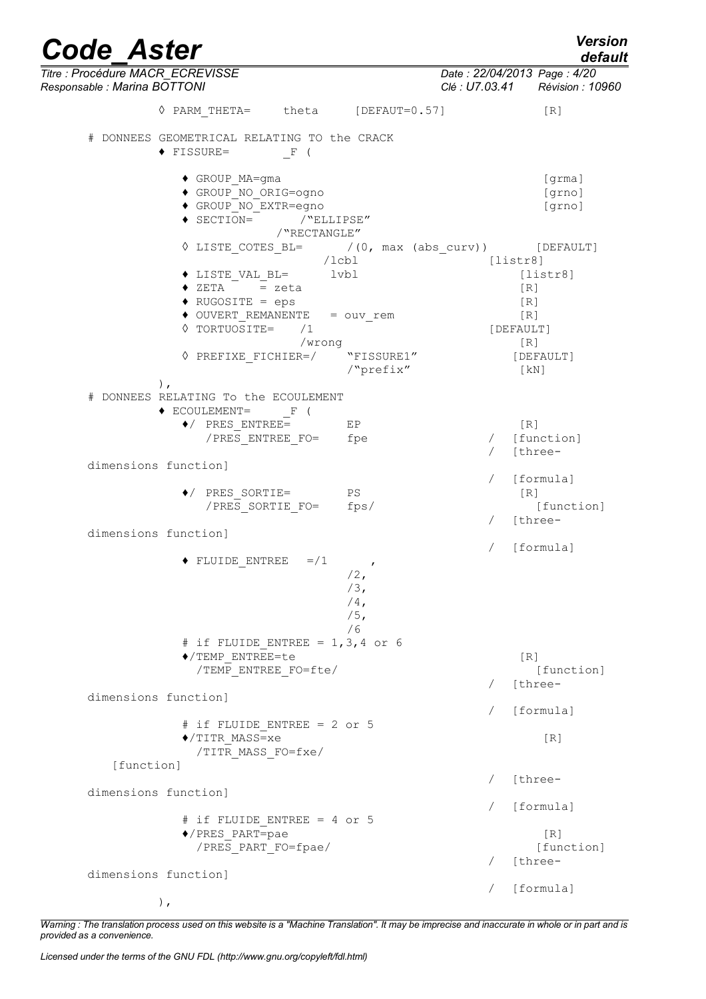| <b>Code Aster</b>                                                                                               |                                                             | <b>Version</b><br>default                                            |
|-----------------------------------------------------------------------------------------------------------------|-------------------------------------------------------------|----------------------------------------------------------------------|
| Titre : Procédure MACR_ECREVISSE<br>Responsable : Marina BOTTONI                                                |                                                             | Date: 22/04/2013 Page: 4/20<br>Clé : U7.03.41 Révision : 10960       |
| ↑ PARM THETA= theta [DEFAUT=0.57]                                                                               |                                                             | [R]                                                                  |
| # DONNEES GEOMETRICAL RELATING TO the CRACK<br>$\blacklozenge$ FISSURE=<br>F (                                  |                                                             |                                                                      |
| ◆ GROUP MA=gma<br>◆ GROUP NO ORIG=ogno<br>◆ GROUP NO EXTR=egno<br>$\bullet$ SECTION= /"ELLIPSE"<br>/"RECTANGLE" |                                                             | [grma]<br>[grno]<br>[grno]                                           |
|                                                                                                                 | /lcbl                                                       | $\sqrt{15TE\_COTES_BL} =$ /(0, max (abs_curv)) [DEFAULT]<br>[listr8] |
| $\bullet$ LISTE VAL BL= $1$ vbl<br>$\triangleleft$ ZETA = zeta<br>$\blacklozenge$ RUGOSITE = eps                |                                                             | [liststr8]<br>[R]<br>[R]                                             |
| $\bullet$ OUVERT REMANENTE = $\text{ouv\_rem}$<br>$\Diamond$ TORTUOSITE= /1                                     | /wrong                                                      | [R]<br>[DEFAULT]<br>[R]                                              |
| $\lozenge \texttt{PREFIXE} \texttt{FICHIER} \texttt{=}/ \qquad \texttt{"FISSURE1"}$                             | /"prefix"                                                   | [DEFAULT]<br>$\lceil kN \rceil$                                      |
| $)$ ,<br># DONNEES RELATING To the ECOULEMENT                                                                   |                                                             |                                                                      |
| $\blacklozenge$ ECOULEMENT= F (<br>$\blacklozenge$ PRES ENTREE=<br>/PRES ENTREE FO= fpe                         | E P                                                         | [R]<br>/ [function]<br>[three-                                       |
| dimensions function]                                                                                            |                                                             | / [formula]                                                          |
| $\blacklozenge$ PRES SORTIE= PS<br>/PRES SORTIE FO= fps/                                                        |                                                             | $\lceil R \rceil$<br>[function]<br>[three-                           |
| dimensions function]                                                                                            |                                                             | [formula]                                                            |
| $=$ / 1<br>$\blacklozenge$ FLUIDE ENTREE                                                                        | $\mathcal{L}$<br>$/2$ ,<br>$/3$ ,<br>$/4$ ,<br>$/5$ ,<br>/6 |                                                                      |
| # if FLUIDE ENTREE = $1, 3, 4$ or 6<br>◆/TEMP ENTREE=te<br>/TEMP_ENTREE_FO=fte/                                 |                                                             | $\lceil R \rceil$<br>[function]                                      |
| dimensions function]                                                                                            |                                                             | [three-                                                              |
| # if FLUIDE ENTREE = 2 or 5<br>$\blacklozenge$ /TITR MASS=xe<br>/TITR MASS FO=fxe/                              |                                                             | [formula]<br>$\lceil R \rceil$                                       |
| [function]                                                                                                      |                                                             |                                                                      |
| dimensions function]                                                                                            |                                                             | [three-                                                              |
| $#$ if FLUIDE ENTREE = 4 or 5<br>◆/PRES PART=pae                                                                |                                                             | [formula]<br>[R]                                                     |
| /PRES_PART_FO=fpae/                                                                                             |                                                             | [function]<br>[three-                                                |
| dimensions function]                                                                                            |                                                             | [formula]                                                            |

),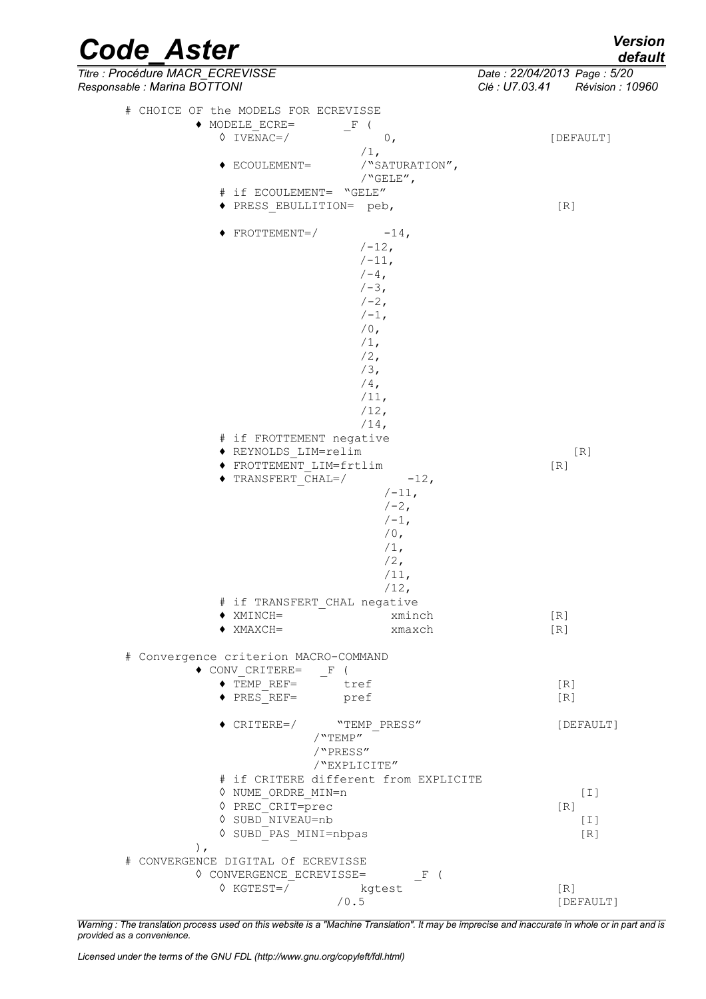| Version |  |  |
|---------|--|--|
| default |  |  |

| <b>Code Aster</b>                                                | <b>Version</b><br>default                                         |
|------------------------------------------------------------------|-------------------------------------------------------------------|
| Titre : Procédure MACR_ECREVISSE<br>Responsable : Marina BOTTONI | Date: 22/04/2013 Page: 5/20<br>Clé : U7.03.41<br>Révision : 10960 |
| # CHOICE OF the MODELS FOR ECREVISSE                             |                                                                   |
| $\blacklozenge$ MODELE ECRE=<br>F (                              |                                                                   |
| $\Diamond$ IVENAC=/<br>0,                                        | [DEFAULT]                                                         |
| $/1$ ,                                                           |                                                                   |
| /"SATURATION",<br>$\blacklozenge$ ECOULEMENT=                    |                                                                   |
| $/$ "GELE",<br># if ECOULEMENT= "GELE"                           |                                                                   |
| ◆ PRESS EBULLITION= peb,                                         | [R]                                                               |
|                                                                  |                                                                   |
| $-14,$<br>$\blacklozenge$ FROTTEMENT=/                           |                                                                   |
| $/ -12,$                                                         |                                                                   |
| $/ -11,$<br>$/-4$ ,                                              |                                                                   |
| $/ -3$ ,                                                         |                                                                   |
| $/ - 2,$                                                         |                                                                   |
| $/ -1$ ,                                                         |                                                                   |
| $/0$ ,                                                           |                                                                   |
| $/1$ ,                                                           |                                                                   |
| $/2$ ,<br>$/3$ ,                                                 |                                                                   |
| $/4$ ,                                                           |                                                                   |
| $/11$ ,                                                          |                                                                   |
| /12,                                                             |                                                                   |
| $/14$ ,                                                          |                                                                   |
| # if FROTTEMENT negative                                         |                                                                   |
| ◆ REYNOLDS LIM=relim<br>◆ FROTTEMENT LIM=frtlim                  | [R]<br>[R]                                                        |
| $\blacklozenge$ TRANSFERT CHAL=/<br>$-12,$                       |                                                                   |
| $/ -11,$                                                         |                                                                   |
| $/ - 2$ ,                                                        |                                                                   |
| $/ -1$ ,                                                         |                                                                   |
| $/0$ ,                                                           |                                                                   |
| $/1$ ,<br>$/2$ ,                                                 |                                                                   |
| $/11$ ,                                                          |                                                                   |
| $/12$ ,                                                          |                                                                   |
| # if TRANSFERT CHAL negative                                     |                                                                   |
| $\blacklozenge$ XMINCH=<br>xminch                                | [R]                                                               |
| $\blacklozenge$ XMAXCH=<br>xmaxch                                | [R]                                                               |
| # Convergence criterion MACRO-COMMAND                            |                                                                   |
| $\bullet$ CONV CRITERE= F (                                      |                                                                   |
| $\bullet$ TEMP REF= $\qquad$ tref                                | [R]                                                               |
| ◆ PRES REF= pref                                                 | [R]                                                               |
| $\blacklozenge$ CRITERE=/<br>"TEMP_PRESS"                        | [DEFAULT]                                                         |
| /"TEMP"                                                          |                                                                   |
| /"PRESS"                                                         |                                                                   |
| /"EXPLICITE"                                                     |                                                                   |
| # if CRITERE different from EXPLICITE                            |                                                                   |
| ♦ NUME ORDRE MIN=n                                               | $[1]$                                                             |
| ♦ PREC CRIT=prec<br>$\Diamond$ SUBD NIVEAU=nb                    | $\lceil R \rceil$<br>$[1]$                                        |
| ♦ SUBD PAS MINI=nbpas                                            | [R]                                                               |
| $\,$ ,                                                           |                                                                   |
| # CONVERGENCE DIGITAL Of ECREVISSE                               |                                                                   |
| ♦ CONVERGENCE ECREVISSE=                                         | $\mathbf{F}$                                                      |
| $\sqrt{6}$ KGTEST=/ kgtest                                       | [R]                                                               |
| /0.5                                                             | [DEFAULT]                                                         |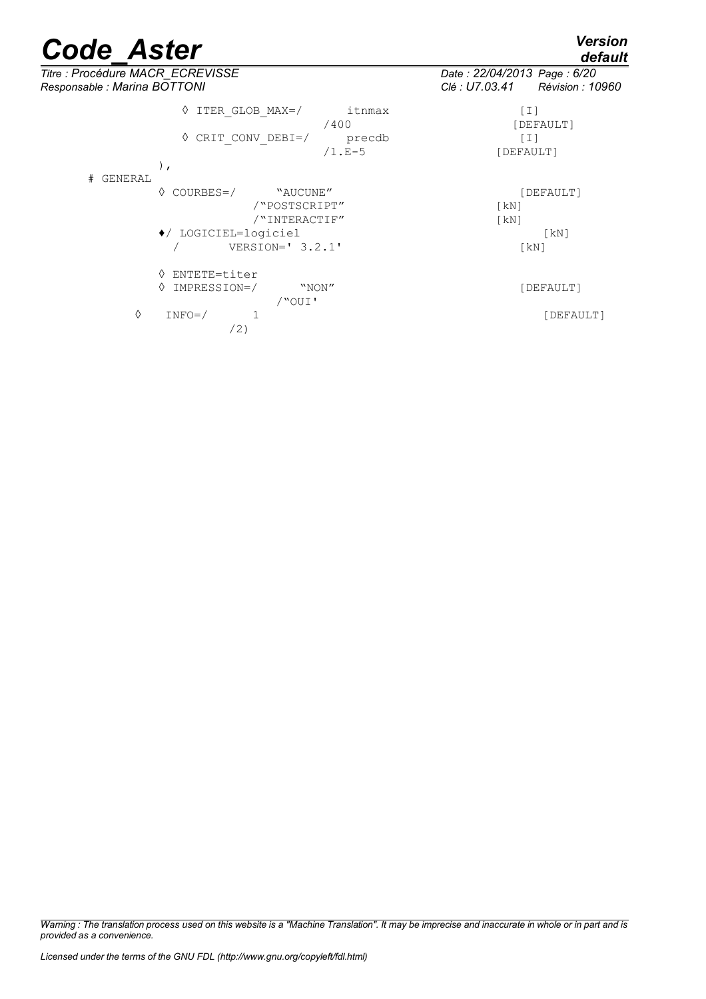*default*

*Titre : Procédure MACR\_ECREVISSE Date : 22/04/2013 Page : 6/20 Responsable : Marina BOTTONI Clé : U7.03.41 Révision : 10960* ◊ ITER\_GLOB\_MAX=/ itnmax [I] [DEFAULT] ◊ CRIT\_CONV\_DEBI=/ precdb [I] [DEFAULT] ), # GENERAL ◊ COURBES=/ "AUCUNE" [DEFAULT] /"POSTSCRIPT" [kN] /"INTERACTIF" [kN] ♦/ LOGICIEL=logiciel [kN] / VERSION=' 3.2.1' [kN] ◊ ENTETE=titer ◊ IMPRESSION=/ "NON" [DEFAULT] /"OUI' ◊ INFO=/ 1 [DEFAULT] /2)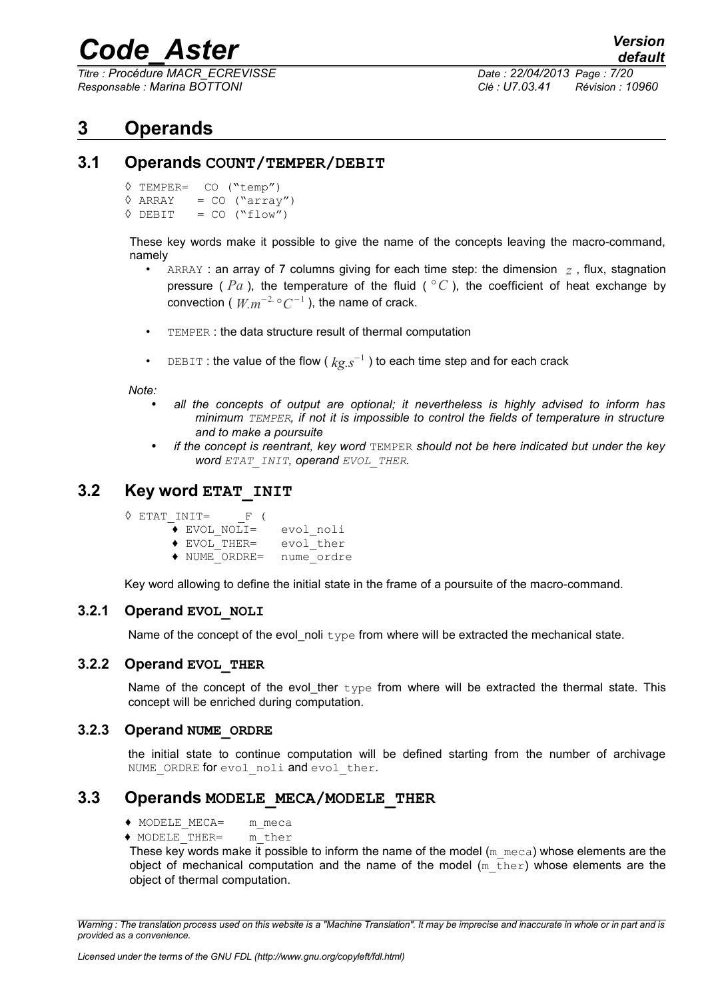*Titre : Procédure MACR\_ECREVISSE Date : 22/04/2013 Page : 7/20 Responsable : Marina BOTTONI Clé : U7.03.41 Révision : 10960*

## <span id="page-6-3"></span>**3 Operands**

#### **3.1 Operands COUNT/TEMPER/DEBIT**

```
◊ TEMPER= CO ("temp")
\hat{V} ARRAY = CO ("array")<br>\hat{V} DEBIT = CO ("flow")
               = CO (``flow'')
```
These key words make it possible to give the name of the concepts leaving the macro-command, namely

- ARRAY : an array of 7 columns giving for each time step: the dimension  $z$ , flux, stagnation pressure ( $Pa$ ), the temperature of the fluid ( $°C$ ), the coefficient of heat exchange by convection (  $W_{.}m^{-2.}$   $^{\circ}C^{-1}$  ), the name of crack.
- TEMPER : the data structure result of thermal computation
- DEBIT : the value of the flow ( *kg.s*<sup>−</sup><sup>1</sup> ) to each time step and for each crack

*Note:* 

- *all the concepts of output are optional; it nevertheless is highly advised to inform has minimum TEMPER, if not it is impossible to control the fields of temperature in structure and to make a poursuite*
- *if the concept is reentrant, key word* TEMPER *should not be here indicated but under the key word ETAT\_INIT, operand EVOL\_THER.*

### **3.2 Key word ETAT\_INIT**

<span id="page-6-1"></span>

|  | $\Diamond$ ETAT INIT=      | F (                         |            |
|--|----------------------------|-----------------------------|------------|
|  | $\triangle$ EVOL NOLI=     |                             | evol noli  |
|  | $\blacklozenge$ EVOL THER= |                             | evol ther  |
|  |                            | $\blacklozenge$ NUME ORDRE= | nume ordre |

Key word allowing to define the initial state in the frame of a poursuite of the macro-command.

#### **3.2.1 Operand EVOL\_NOLI**

Name of the concept of the evol noli  $type$  from where will be extracted the mechanical state.

#### **3.2.2 Operand EVOL\_THER**

Name of the concept of the evol\_ther  $type$  from where will be extracted the thermal state. This concept will be enriched during computation.

#### **3.2.3 Operand NUME\_ORDRE**

the initial state to continue computation will be defined starting from the number of archivage NUME ORDRE for evol noli and evol ther.

#### **3.3 Operands MODELE\_MECA/MODELE\_THER**

- <span id="page-6-0"></span>♦ MODELE\_MECA= m\_meca
- **♦** MODELE\_THER= m\_ther

These key words make it possible to inform the name of the model  $(m_m \text{~meca})$  whose elements are the obiect of mechanical computation and the name of the model  $(m_t + h + r)$  whose elements are the object of thermal computation.

*Warning : The translation process used on this website is a "Machine Translation". It may be imprecise and inaccurate in whole or in part and is provided as a convenience.*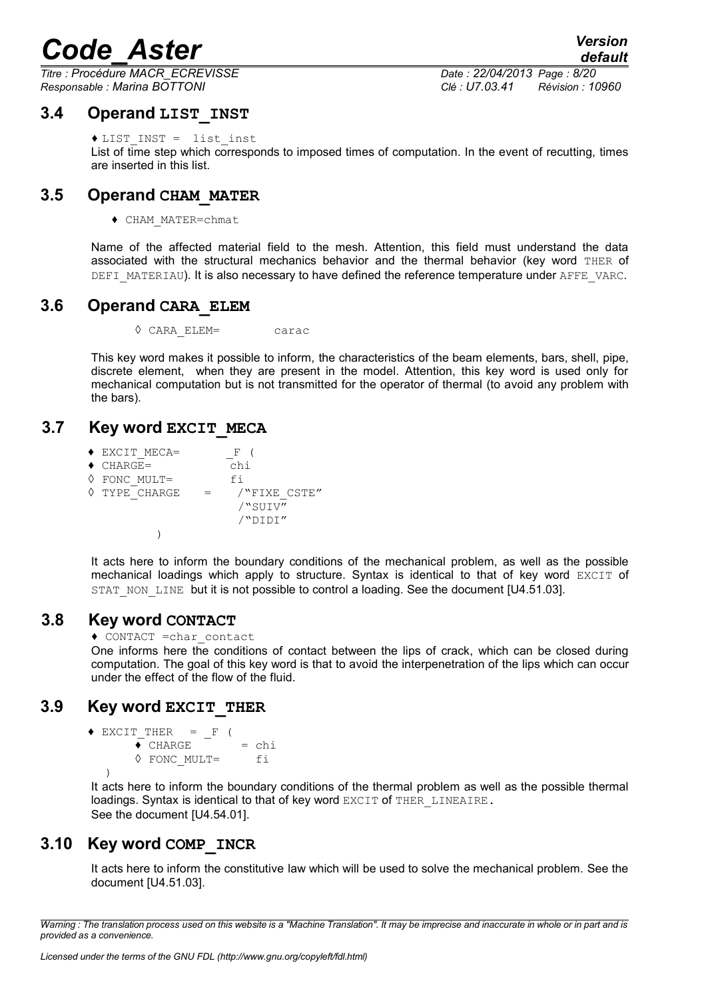*Titre : Procédure MACR\_ECREVISSE Date : 22/04/2013 Page : 8/20 Responsable : Marina BOTTONI Clé : U7.03.41 Révision : 10960*

*default*

### **3.4 Operand LIST\_INST**

<span id="page-7-6"></span>♦ LIST\_INST = list\_inst

List of time step which corresponds to imposed times of computation. In the event of recutting, times are inserted in this list.

## **3.5 Operand CHAM\_MATER**

<span id="page-7-5"></span>♦ CHAM\_MATER=chmat

Name of the affected material field to the mesh. Attention, this field must understand the data associated with the structural mechanics behavior and the thermal behavior (key word THER of DEFI\_MATERIAU). It is also necessary to have defined the reference temperature under AFFE\_VARC.

### <span id="page-7-4"></span>**3.6 Operand CARA\_ELEM**

◊ CARA\_ELEM= carac

This key word makes it possible to inform, the characteristics of the beam elements, bars, shell, pipe, discrete element, when they are present in the model. Attention, this key word is used only for mechanical computation but is not transmitted for the operator of thermal (to avoid any problem with the bars).

## **3.7 Key word EXCIT\_MECA**

<span id="page-7-3"></span>

| $\blacklozenge$ EXCIT MECA= | $\mathbf{F}$ |
|-----------------------------|--------------|
| $\triangleleft$ CHARGE=     | chi          |
| $\Diamond$ FONC MULT=       | fi           |
| ♦ TYPE CHARGE               | /"FIXE CSTE" |
|                             | /"SUIV"      |
|                             | /"DIDI"      |
|                             |              |

It acts here to inform the boundary conditions of the mechanical problem, as well as the possible mechanical loadings which apply to structure. Syntax is identical to that of key word EXCIT of STAT\_NON\_LINE but it is not possible to control a loading. See the document [U4.51.03].

### **3.8 Key word CONTACT**

<span id="page-7-2"></span>♦ CONTACT =char\_contact

One informs here the conditions of contact between the lips of crack, which can be closed during computation. The goal of this key word is that to avoid the interpenetration of the lips which can occur under the effect of the flow of the fluid.

## **3.9 Key word EXCIT\_THER**

```
\triangle EXCIT_THER = _F (
       \triangle CHARGE = chi
       ◊ FONC_MULT= fi 
   )
```
It acts here to inform the boundary conditions of the thermal problem as well as the possible thermal loadings. Syntax is identical to that of key word EXCIT of THER LINEAIRE. See the document  $IU4.54.011$ .

## **3.10 Key word COMP\_INCR**

<span id="page-7-0"></span>It acts here to inform the constitutive law which will be used to solve the mechanical problem. See the document [U4.51.03].

*Warning : The translation process used on this website is a "Machine Translation". It may be imprecise and inaccurate in whole or in part and is provided as a convenience.*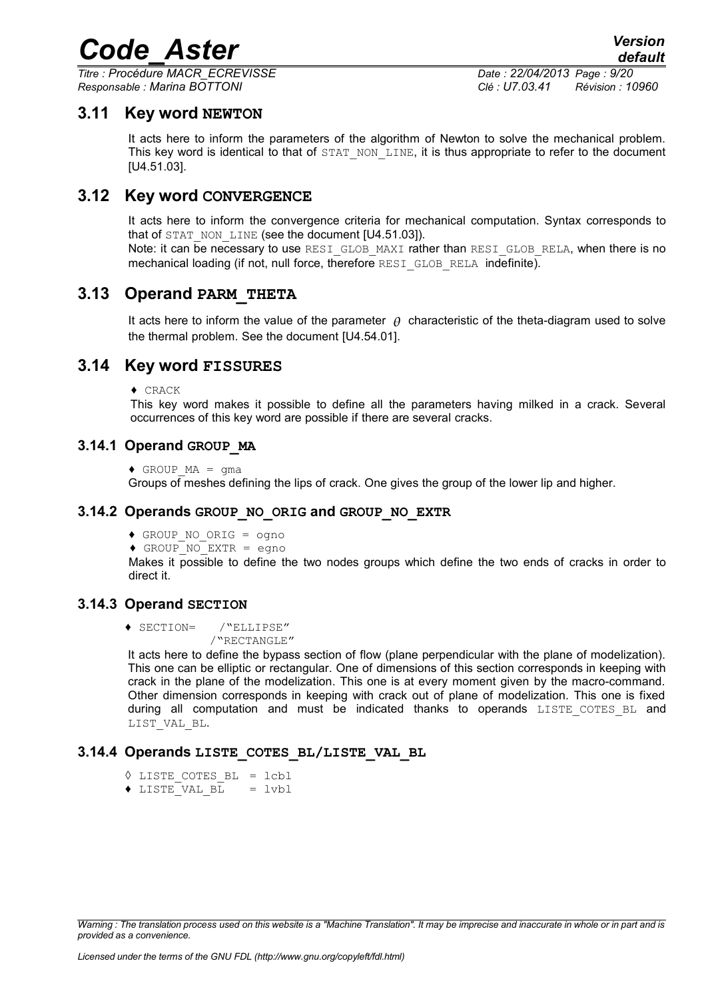*Titre : Procédure MACR\_ECREVISSE Date : 22/04/2013 Page : 9/20 Responsable : Marina BOTTONI Clé : U7.03.41 Révision : 10960*

### **3.11 Key word NEWTON**

<span id="page-8-3"></span>It acts here to inform the parameters of the algorithm of Newton to solve the mechanical problem. This key word is identical to that of STAT\_NON\_LINE, it is thus appropriate to refer to the document [U4.51.03].

### **3.12 Key word CONVERGENCE**

<span id="page-8-2"></span>It acts here to inform the convergence criteria for mechanical computation. Syntax corresponds to that of STAT\_NON\_LINE (see the document [U4.51.03]). Note: it can be necessary to use RESI GLOB MAXI rather than RESI GLOB RELA, when there is no mechanical loading (if not, null force, therefore RESI GLOB RELA indefinite).

### **3.13 Operand PARM\_THETA**

<span id="page-8-1"></span>It acts here to inform the value of the parameter  $\theta$  characteristic of the theta-diagram used to solve the thermal problem. See the document [U4.54.01].

### **3.14 Key word FISSURES**

<span id="page-8-0"></span>♦ CRACK

This key word makes it possible to define all the parameters having milked in a crack. Several occurrences of this key word are possible if there are several cracks.

#### **3.14.1 Operand GROUP\_MA**

 $\triangleleft$  GROUP MA = qma

Groups of meshes defining the lips of crack. One gives the group of the lower lip and higher.

#### **3.14.2 Operands GROUP\_NO\_ORIG and GROUP\_NO\_EXTR**

- ♦ GROUP\_NO\_ORIG = ogno
- ♦ GROUP\_NO\_EXTR = egno

Makes it possible to define the two nodes groups which define the two ends of cracks in order to direct it.

#### **3.14.3 Operand SECTION**

♦ SECTION= /"ELLIPSE"

/"RECTANGLE"

It acts here to define the bypass section of flow (plane perpendicular with the plane of modelization). This one can be elliptic or rectangular. One of dimensions of this section corresponds in keeping with crack in the plane of the modelization. This one is at every moment given by the macro-command. Other dimension corresponds in keeping with crack out of plane of modelization. This one is fixed during all computation and must be indicated thanks to operands LISTE COTES BL and LIST VAL BL.

#### **3.14.4 Operands LISTE\_COTES\_BL/LISTE\_VAL\_BL**

- ◊ LISTE\_COTES\_BL = lcbl
- $\triangle$  LISTE VAL BL = lvbl

*Warning : The translation process used on this website is a "Machine Translation". It may be imprecise and inaccurate in whole or in part and is provided as a convenience.*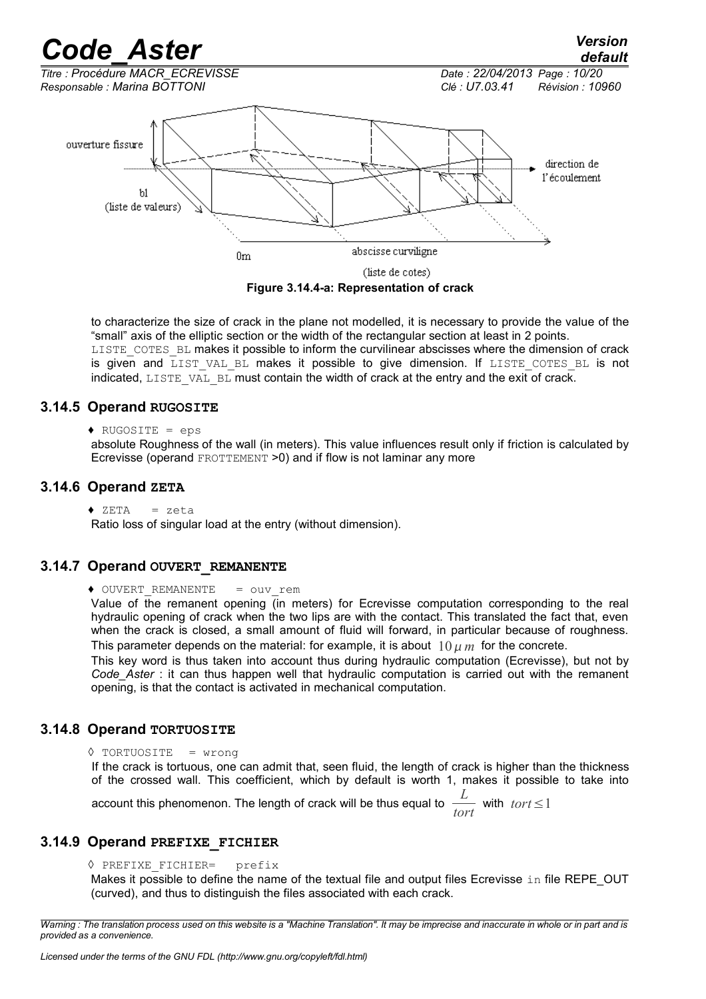

to characterize the size of crack in the plane not modelled, it is necessary to provide the value of the "small" axis of the elliptic section or the width of the rectangular section at least in 2 points. LISTE\_COTES\_BL makes it possible to inform the curvilinear abscisses where the dimension of crack is given and LIST VAL BL makes it possible to give dimension. If LISTE COTES BL is not indicated, LISTE, VAL, BL must contain the width of crack at the entry and the exit of crack.

#### **3.14.5 Operand RUGOSITE**

♦ RUGOSITE = eps

absolute Roughness of the wall (in meters). This value influences result only if friction is calculated by Ecrevisse (operand FROTTEMENT >0) and if flow is not laminar any more

#### **3.14.6 Operand ZETA**

 $\triangle$  ZETA = zeta

Ratio loss of singular load at the entry (without dimension).

#### **3.14.7 Operand OUVERT\_REMANENTE**

◆ OUVERT REMANENTE = ouv\_rem

Value of the remanent opening (in meters) for Ecrevisse computation corresponding to the real hydraulic opening of crack when the two lips are with the contact. This translated the fact that, even when the crack is closed, a small amount of fluid will forward, in particular because of roughness. This parameter depends on the material: for example, it is about  $10 \mu m$  for the concrete.

This key word is thus taken into account thus during hydraulic computation (Ecrevisse), but not by *Code Aster* : it can thus happen well that hydraulic computation is carried out with the remanent opening, is that the contact is activated in mechanical computation.

#### **3.14.8 Operand TORTUOSITE**

```
◊ TORTUOSITE = wrong
```
If the crack is tortuous, one can admit that, seen fluid, the length of crack is higher than the thickness of the crossed wall. This coefficient, which by default is worth 1, makes it possible to take into

account this phenomenon. The length of crack will be thus equal to *<sup>L</sup>*  $\frac{L}{tort}$  with  $tort \leq 1$ 

#### **3.14.9 Operand PREFIXE\_FICHIER**

◊ PREFIXE\_FICHIER= prefix

Makes it possible to define the name of the textual file and output files Ecrevisse  $\pm n$  file REPE\_OUT (curved), and thus to distinguish the files associated with each crack.

*Warning : The translation process used on this website is a "Machine Translation". It may be imprecise and inaccurate in whole or in part and is provided as a convenience.*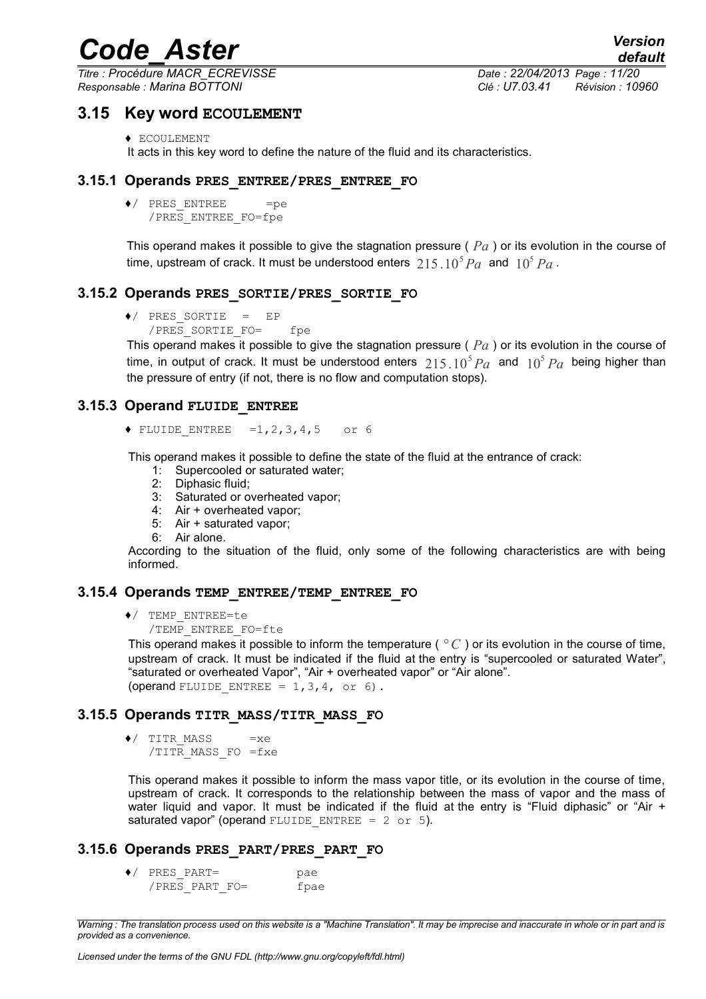*Titre : Procédure MACR\_ECREVISSE Date : 22/04/2013 Page : 11/20 Responsable : Marina BOTTONI Clé : U7.03.41 Révision : 10960*

*default*

### **3.15 Key word ECOULEMENT**

<span id="page-10-0"></span>♦ ECOULEMENT

It acts in this key word to define the nature of the fluid and its characteristics.

#### **3.15.1 Operands PRES\_ENTREE/PRES\_ENTREE\_FO**

 $\bullet$  / PRES ENTREE = = pe /PRES\_ENTREE\_FO=fpe

This operand makes it possible to give the stagnation pressure ( *Pa* ) or its evolution in the course of time, upstream of crack. It must be understood enters  $\ 215$   $10^5 Pa\,$  and  $\ 10^5 Pa$  .

#### **3.15.2 Operands PRES\_SORTIE/PRES\_SORTIE\_FO**

```
♦/ PRES_SORTIE = EP
```
/PRES SORTIE FO= fpe

This operand makes it possible to give the stagnation pressure ( *Pa* ) or its evolution in the course of time, in output of crack. It must be understood enters  $215$   $10^5 Pa$  and  $10^5 Pa$  being higher than the pressure of entry (if not, there is no flow and computation stops).

#### **3.15.3 Operand FLUIDE\_ENTREE**

 $\triangle$  FLUIDE ENTREE =1,2,3,4,5 or 6

This operand makes it possible to define the state of the fluid at the entrance of crack:

- 1: Supercooled or saturated water;
- 2: Diphasic fluid;
- 3: Saturated or overheated vapor;
- 4: Air + overheated vapor;
- 5: Air + saturated vapor;
- 6: Air alone.

According to the situation of the fluid, only some of the following characteristics are with being informed.

#### **3.15.4 Operands TEMP\_ENTREE/TEMP\_ENTREE\_FO**

- ♦/ TEMP\_ENTREE=te
	- /TEMP\_ENTREE\_FO=fte

This operand makes it possible to inform the temperature ( $\degree C$ ) or its evolution in the course of time, upstream of crack. It must be indicated if the fluid at the entry is "supercooled or saturated Water", "saturated or overheated Vapor", "Air + overheated vapor" or "Air alone". (operand FLUIDE ENTREE =  $1,3,4$ , or 6).

#### **3.15.5 Operands TITR\_MASS/TITR\_MASS\_FO**

 $\bullet$ / TITR MASS =  $xe$ /TITR\_MASS\_FO =fxe

This operand makes it possible to inform the mass vapor title, or its evolution in the course of time, upstream of crack. It corresponds to the relationship between the mass of vapor and the mass of water liquid and vapor. It must be indicated if the fluid at the entry is "Fluid diphasic" or "Air + saturated vapor" (operand FLUIDE ENTREE =  $2$  or 5).

#### **3.15.6 Operands PRES\_PART/PRES\_PART\_FO**

♦/ PRES\_PART= pae  $/PRES$  PART FO= fpae

*Warning : The translation process used on this website is a "Machine Translation". It may be imprecise and inaccurate in whole or in part and is provided as a convenience.*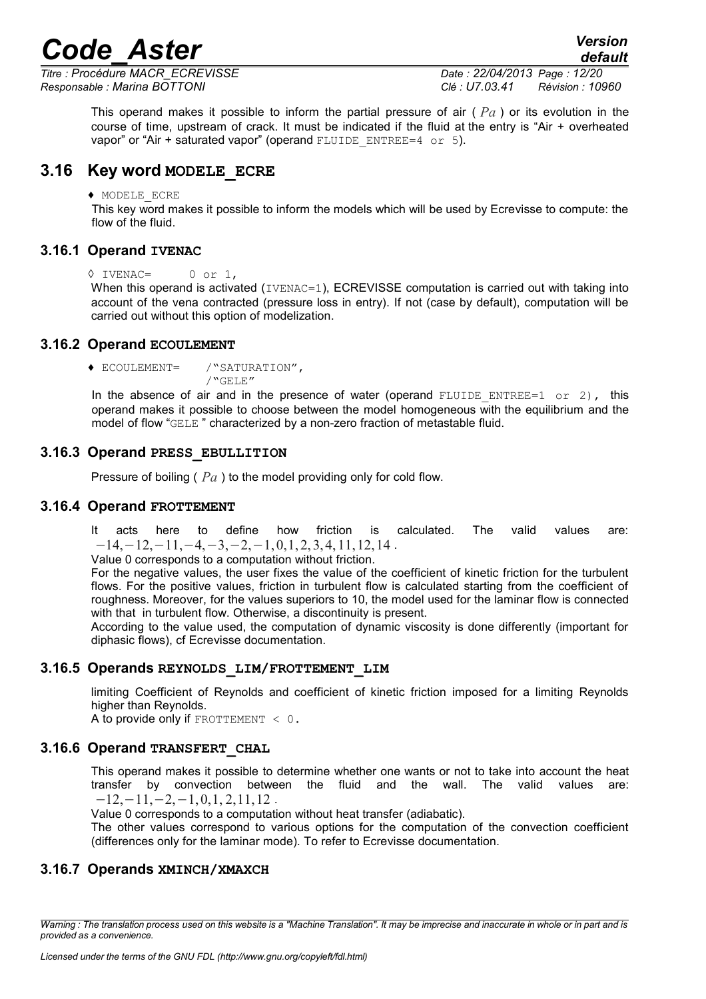*Titre : Procédure MACR\_ECREVISSE Date : 22/04/2013 Page : 12/20 Responsable : Marina BOTTONI Clé : U7.03.41 Révision : 10960*

*default*

This operand makes it possible to inform the partial pressure of air ( *Pa* ) or its evolution in the course of time, upstream of crack. It must be indicated if the fluid at the entry is "Air + overheated vapor" or "Air + saturated vapor" (operand FLUIDE\_ENTREE=4 or 5).

### **3.16 Key word MODELE\_ECRE**

#### <span id="page-11-0"></span>♦ MODELE\_ECRE

This key word makes it possible to inform the models which will be used by Ecrevisse to compute: the flow of the fluid.

#### **3.16.1 Operand IVENAC**

```
◊ IVENAC= 0 or 1,
```
When this operand is activated (IVENAC=1), ECREVISSE computation is carried out with taking into account of the vena contracted (pressure loss in entry). If not (case by default), computation will be carried out without this option of modelization.

#### **3.16.2 Operand ECOULEMENT**

♦ ECOULEMENT= /"SATURATION", /"GELE"

In the absence of air and in the presence of water (operand FLUIDE ENTREE=1 or 2), this operand makes it possible to choose between the model homogeneous with the equilibrium and the model of flow "GELE " characterized by a non-zero fraction of metastable fluid.

#### **3.16.3 Operand PRESS\_EBULLITION**

Pressure of boiling ( *Pa* ) to the model providing only for cold flow.

#### **3.16.4 Operand FROTTEMENT**

It acts here to define how friction is calculated. The valid values are:  $-14, -12, -11, -4, -3, -2, -1, 0, 1, 2, 3, 4, 11, 12, 14$ .

Value 0 corresponds to a computation without friction.

For the negative values, the user fixes the value of the coefficient of kinetic friction for the turbulent flows. For the positive values, friction in turbulent flow is calculated starting from the coefficient of roughness. Moreover, for the values superiors to 10, the model used for the laminar flow is connected with that in turbulent flow. Otherwise, a discontinuity is present.

According to the value used, the computation of dynamic viscosity is done differently (important for diphasic flows), cf Ecrevisse documentation.

#### **3.16.5 Operands REYNOLDS\_LIM/FROTTEMENT\_LIM**

limiting Coefficient of Reynolds and coefficient of kinetic friction imposed for a limiting Reynolds higher than Reynolds.

A to provide only if FROTTEMENT  $\leq 0$ .

#### **3.16.6 Operand TRANSFERT\_CHAL**

This operand makes it possible to determine whether one wants or not to take into account the heat transfer by convection between the fluid and the wall. The valid values are:  $-12, -11, -2, -1, 0, 1, 2, 11, 12$ .

Value 0 corresponds to a computation without heat transfer (adiabatic).

The other values correspond to various options for the computation of the convection coefficient (differences only for the laminar mode). To refer to Ecrevisse documentation.

#### **3.16.7 Operands XMINCH/XMAXCH**

*Warning : The translation process used on this website is a "Machine Translation". It may be imprecise and inaccurate in whole or in part and is provided as a convenience.*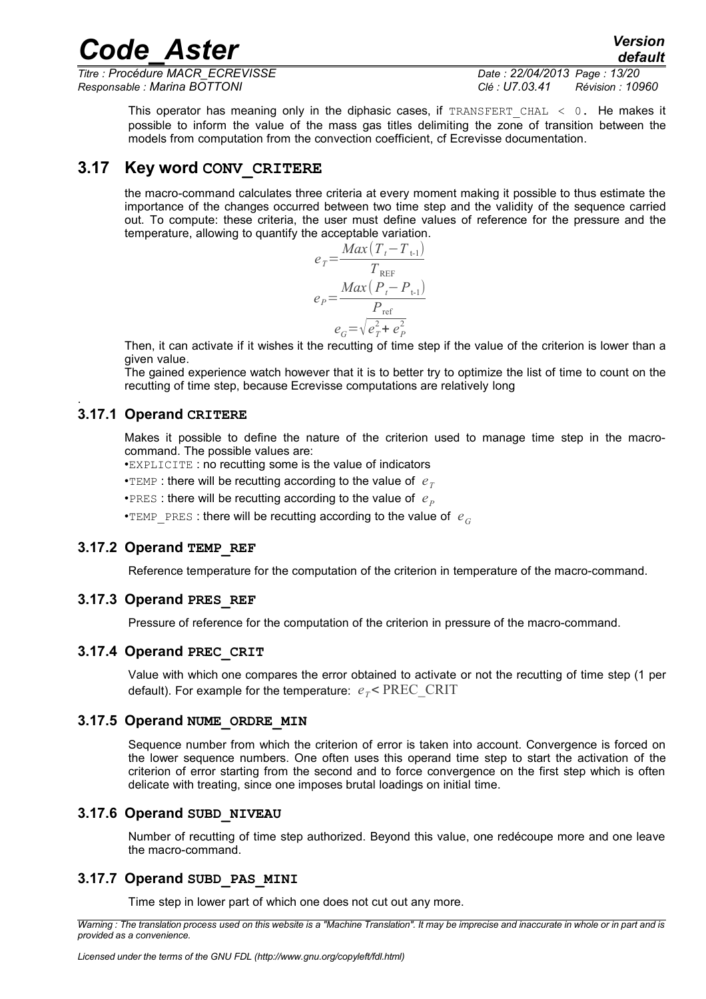*Titre : Procédure MACR\_ECREVISSE Date : 22/04/2013 Page : 13/20 Responsable : Marina BOTTONI Clé : U7.03.41 Révision : 10960*

This operator has meaning only in the diphasic cases, if TRANSFERT CHAL  $\leq$  0. He makes it possible to inform the value of the mass gas titles delimiting the zone of transition between the models from computation from the convection coefficient, cf Ecrevisse documentation.

#### **3.17 Key word CONV\_CRITERE**

<span id="page-12-0"></span>the macro-command calculates three criteria at every moment making it possible to thus estimate the importance of the changes occurred between two time step and the validity of the sequence carried out. To compute: these criteria, the user must define values of reference for the pressure and the temperature, allowing to quantify the acceptable variation.

$$
e_{T} = \frac{Max(T_{t} - T_{t-1})}{T_{\text{REF}}}
$$

$$
e_{P} = \frac{Max(P_{t} - P_{t-1})}{P_{\text{ref}}}
$$

$$
e_{G} = \sqrt{e_{T}^{2} + e_{P}^{2}}
$$

Then, it can activate if it wishes it the recutting of time step if the value of the criterion is lower than a given value.

The gained experience watch however that it is to better try to optimize the list of time to count on the recutting of time step, because Ecrevisse computations are relatively long

#### **3.17.1 Operand CRITERE**

.

Makes it possible to define the nature of the criterion used to manage time step in the macrocommand. The possible values are:

•EXPLICITE : no recutting some is the value of indicators

• $TEMP$ : there will be recutting according to the value of  $e_T$ 

•PRES : there will be recutting according to the value of  $e_p$ 

•TEMP PRES : there will be recutting according to the value of  $e_G$ 

#### **3.17.2 Operand TEMP\_REF**

Reference temperature for the computation of the criterion in temperature of the macro-command.

#### **3.17.3 Operand PRES\_REF**

Pressure of reference for the computation of the criterion in pressure of the macro-command.

#### **3.17.4 Operand PREC\_CRIT**

Value with which one compares the error obtained to activate or not the recutting of time step (1 per default). For example for the temperature:  $e_T$ < PREC\_CRIT

#### **3.17.5 Operand NUME\_ORDRE\_MIN**

Sequence number from which the criterion of error is taken into account. Convergence is forced on the lower sequence numbers. One often uses this operand time step to start the activation of the criterion of error starting from the second and to force convergence on the first step which is often delicate with treating, since one imposes brutal loadings on initial time.

#### **3.17.6 Operand SUBD\_NIVEAU**

Number of recutting of time step authorized. Beyond this value, one redécoupe more and one leave the macro-command.

#### **3.17.7 Operand SUBD\_PAS\_MINI**

Time step in lower part of which one does not cut out any more.

*Warning : The translation process used on this website is a "Machine Translation". It may be imprecise and inaccurate in whole or in part and is provided as a convenience.*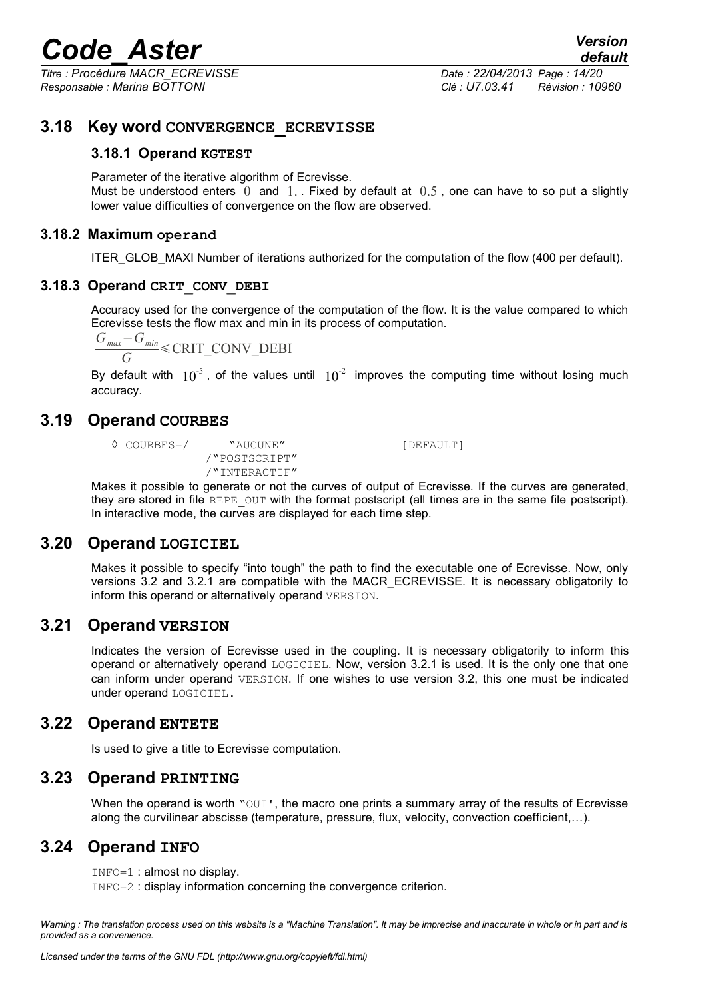*Titre : Procédure MACR\_ECREVISSE Date : 22/04/2013 Page : 14/20 Responsable : Marina BOTTONI Clé : U7.03.41 Révision : 10960*

#### **3.18 Key word CONVERGENCE\_ECREVISSE**

#### <span id="page-13-6"></span>**3.18.1 Operand KGTEST**

Parameter of the iterative algorithm of Ecrevisse.

Must be understood enters  $\overline{0}$  and  $\overline{1}$ . Fixed by default at  $\overline{0.5}$ , one can have to so put a slightly lower value difficulties of convergence on the flow are observed.

#### **3.18.2 Maximum operand**

ITER GLOB MAXI Number of iterations authorized for the computation of the flow (400 per default).

#### **3.18.3 Operand CRIT\_CONV\_DEBI**

Accuracy used for the convergence of the computation of the flow. It is the value compared to which Ecrevisse tests the flow max and min in its process of computation.

$$
\frac{G_{\text{max}} - G_{\text{min}}}{G} \le \text{CRIT\_CONV\_DEBI}
$$

By default with  $10^{-5}$ , of the values until  $10^{-2}$  improves the computing time without losing much accuracy.

#### **3.19 Operand COURBES**

<span id="page-13-5"></span>

◊ COURBES=/ "AUCUNE" [DEFAULT] /"POSTSCRIPT" /"INTERACTIF"

Makes it possible to generate or not the curves of output of Ecrevisse. If the curves are generated, they are stored in file REPE\_OUT with the format postscript (all times are in the same file postscript). In interactive mode, the curves are displayed for each time step.

#### **3.20 Operand LOGICIEL**

<span id="page-13-4"></span>Makes it possible to specify "into tough" the path to find the executable one of Ecrevisse. Now, only versions 3.2 and 3.2.1 are compatible with the MACR\_ECREVISSE. It is necessary obligatorily to inform this operand or alternatively operand VERSION.

#### **3.21 Operand VERSION**

<span id="page-13-3"></span>Indicates the version of Ecrevisse used in the coupling. It is necessary obligatorily to inform this operand or alternatively operand LOGICIEL. Now, version 3.2.1 is used. It is the only one that one can inform under operand VERSION. If one wishes to use version 3.2, this one must be indicated under operand LOGICIEL.

#### **3.22 Operand ENTETE**

<span id="page-13-2"></span><span id="page-13-1"></span>Is used to give a title to Ecrevisse computation.

#### **3.23 Operand PRINTING**

When the operand is worth "OUI", the macro one prints a summary array of the results of Ecrevisse along the curvilinear abscisse (temperature, pressure, flux, velocity, convection coefficient,…).

#### **3.24 Operand INFO**

<span id="page-13-0"></span>INFO=1 : almost no display.

INFO=2 : display information concerning the convergence criterion.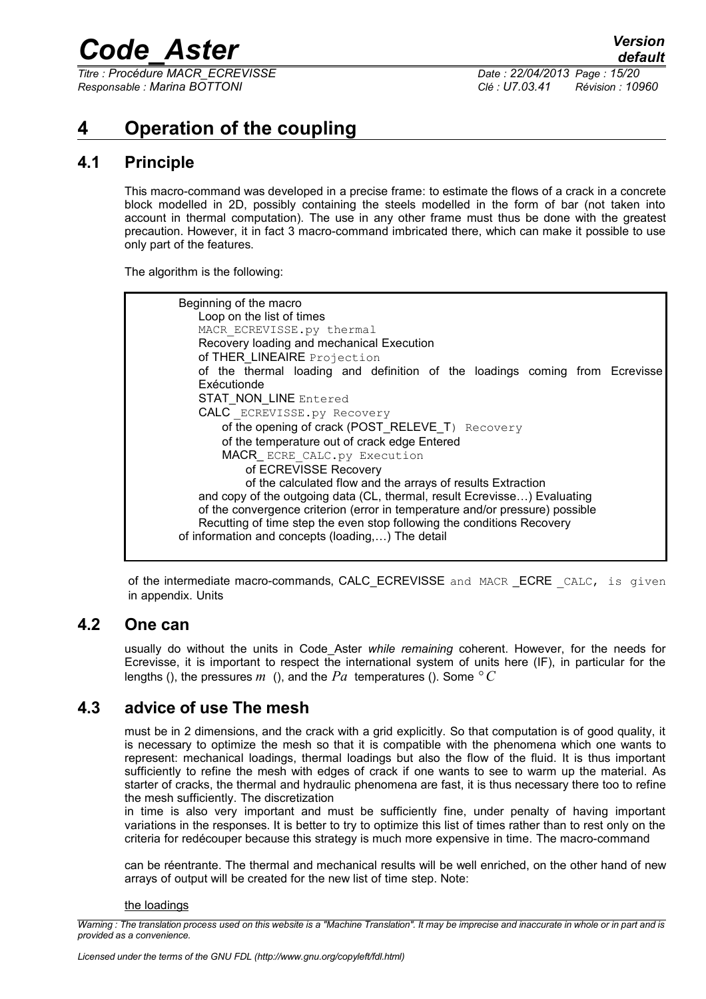*Titre : Procédure MACR\_ECREVISSE Date : 22/04/2013 Page : 15/20 Responsable : Marina BOTTONI Clé : U7.03.41 Révision : 10960*

## <span id="page-14-3"></span>**4 Operation of the coupling**

## **4.1 Principle**

<span id="page-14-2"></span>This macro-command was developed in a precise frame: to estimate the flows of a crack in a concrete block modelled in 2D, possibly containing the steels modelled in the form of bar (not taken into account in thermal computation). The use in any other frame must thus be done with the greatest precaution. However, it in fact 3 macro-command imbricated there, which can make it possible to use only part of the features.

The algorithm is the following:



of the intermediate macro-commands, CALC\_ECREVISSE and MACR\_ECRE CALC, is given in appendix. Units

### **4.2 One can**

<span id="page-14-1"></span>usually do without the units in Code\_Aster *while remaining* coherent. However, for the needs for Ecrevisse, it is important to respect the international system of units here (IF), in particular for the lengths (), the pressures  $m$  (), and the  $Pa$  temperatures (). Some  $\degree C$ 

### **4.3 advice of use The mesh**

<span id="page-14-0"></span>must be in 2 dimensions, and the crack with a grid explicitly. So that computation is of good quality, it is necessary to optimize the mesh so that it is compatible with the phenomena which one wants to represent: mechanical loadings, thermal loadings but also the flow of the fluid. It is thus important sufficiently to refine the mesh with edges of crack if one wants to see to warm up the material. As starter of cracks, the thermal and hydraulic phenomena are fast, it is thus necessary there too to refine the mesh sufficiently. The discretization

in time is also very important and must be sufficiently fine, under penalty of having important variations in the responses. It is better to try to optimize this list of times rather than to rest only on the criteria for redécouper because this strategy is much more expensive in time. The macro-command

can be réentrante. The thermal and mechanical results will be well enriched, on the other hand of new arrays of output will be created for the new list of time step. Note:

#### the loadings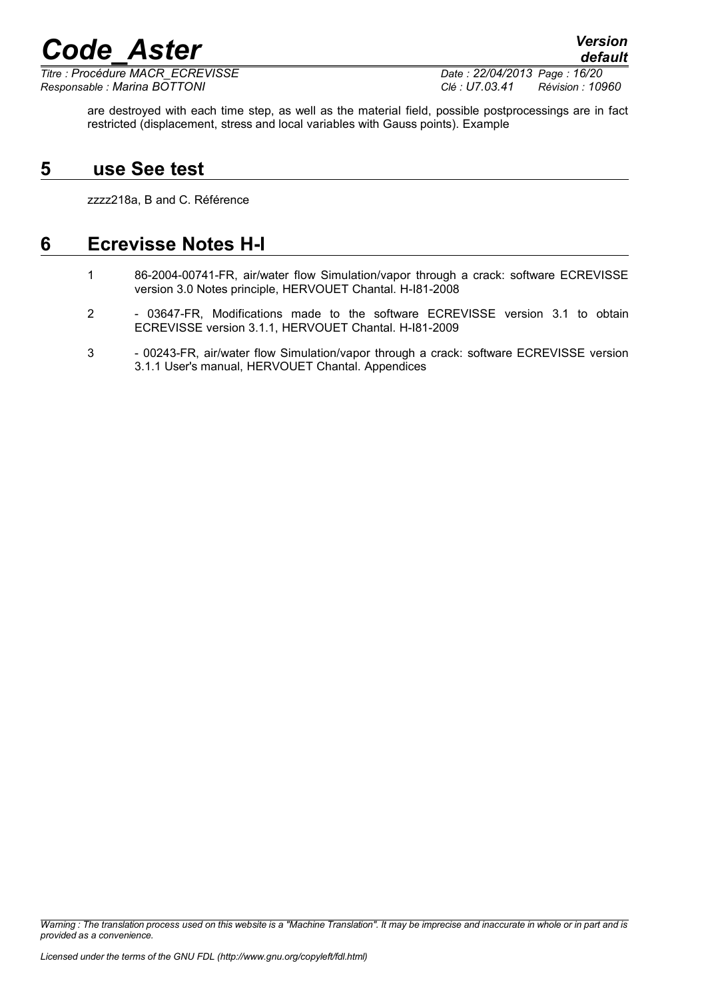*Titre : Procédure MACR\_ECREVISSE Date : 22/04/2013 Page : 16/20 Responsable : Marina BOTTONI Clé : U7.03.41 Révision : 10960*

are destroyed with each time step, as well as the material field, possible postprocessings are in fact restricted (displacement, stress and local variables with Gauss points). Example

## **5 use See test**

<span id="page-15-1"></span>zzzz218a, B and C. Référence

## **6 Ecrevisse Notes H-I**

- <span id="page-15-0"></span>1 86-2004-00741-FR, air/water flow Simulation/vapor through a crack: software ECREVISSE version 3.0 Notes principle, HERVOUET Chantal. H-I81-2008
- 2 03647-FR, Modifications made to the software ECREVISSE version 3.1 to obtain ECREVISSE version 3.1.1, HERVOUET Chantal. H-I81-2009
- 3 00243-FR, air/water flow Simulation/vapor through a crack: software ECREVISSE version 3.1.1 User's manual, HERVOUET Chantal. Appendices

*Warning : The translation process used on this website is a "Machine Translation". It may be imprecise and inaccurate in whole or in part and is provided as a convenience.*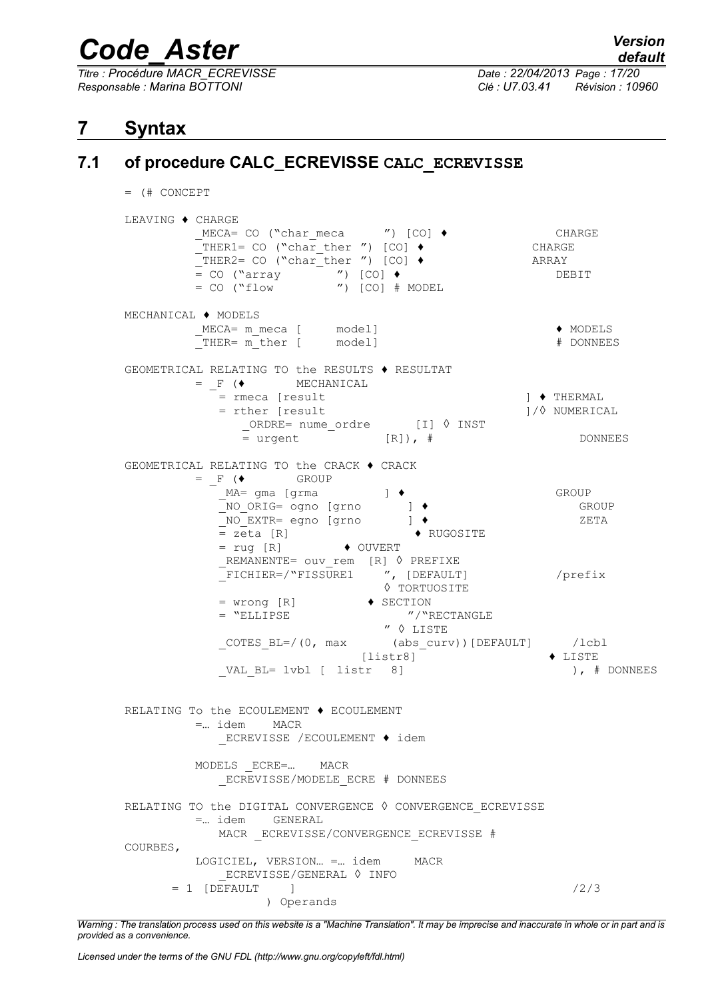*Titre : Procédure MACR\_ECREVISSE Date : 22/04/2013 Page : 17/20 Responsable : Marina BOTTONI Clé : U7.03.41 Révision : 10960*

<span id="page-16-0"></span> $=$  (# CONCEPT

## <span id="page-16-1"></span>**7 Syntax**

## **7.1 of procedure CALC\_ECREVISSE CALC\_ECREVISSE**

LEAVING ♦ CHARGE  $MECA= CO$  ("char\_meca ") [CO]  $\bullet$  CHARGE<br>
THER1= CO ("char\_ther ") [CO]  $\bullet$  CHARGE  $\texttt{THER1= CO}$  ("char $\texttt{ther}$ ") [CO]  $\blacklozenge$  $T$ HER2= CO ("char $T$ ther ") [CO]  $\bullet$  ARRAY = CO ("array ") [CO] ♦ DEBIT = CO ("flow ") [CO] # MODEL MECHANICAL ♦ MODELS  $MECA=$  m meca [ model] ♦ MODELS \_THER= m\_ther [ model] # DONNEES GEOMETRICAL RELATING TO the RESULTS ♦ RESULTAT  $=$   $F$  ( $\blacklozenge$  MECHANICAL = rmeca [result ] ♦ THERMAL<br>= rther [result ] /◊ NUMERICAL = rther [result \_ORDRE= nume\_ordre [I] ◊ INST  $=$  urgent  $[R]$ ),  $\#$  DONNEES GEOMETRICAL RELATING TO the CRACK ♦ CRACK  $=$   $F$  ( $\bullet$  GROUP \_MA= gma [grma ] ♦ GROUP \_NO\_ORIG= ogno [grno ] ♦ GROUP \_NO\_EXTR= egno [grno ] ♦ ZETA = zeta [R] ♦ RUGOSITE  $= \text{rug } [R] \rightarrow \text{OUVERT}$ REMANENTE= ouv rem [R] ◊ PREFIXE \_FICHIER=/"FISSURE1 ", [DEFAULT] /prefix ◊ TORTUOSITE  $=$  wrong [R]  $\qquad \qquad \bullet$  SECTION = "ELLIPSE "/"RECTANGLE " ◊ LISTE \_COTES\_BL=/(0, max (abs\_curv))[DEFAULT] /lcbl  $[liststr8]$ VAL BL= lvbl [ listr 8] ), # DONNEES RELATING To the ECOULEMENT ♦ ECOULEMENT =… idem MACR \_ECREVISSE /ECOULEMENT ♦ idem MODELS \_ECRE=… MACR ECREVISSE/MODELE ECRE # DONNEES RELATING TO the DIGITAL CONVERGENCE  $\Diamond$  CONVERGENCE ECREVISSE =… idem GENERAL MACR ECREVISSE/CONVERGENCE ECREVISSE # COURBES, LOGICIEL, VERSION… =… idem MACR \_ECREVISSE/GENERAL ◊ INFO  $= 1$  [DEFAULT ]  $/2/3$ ) Operands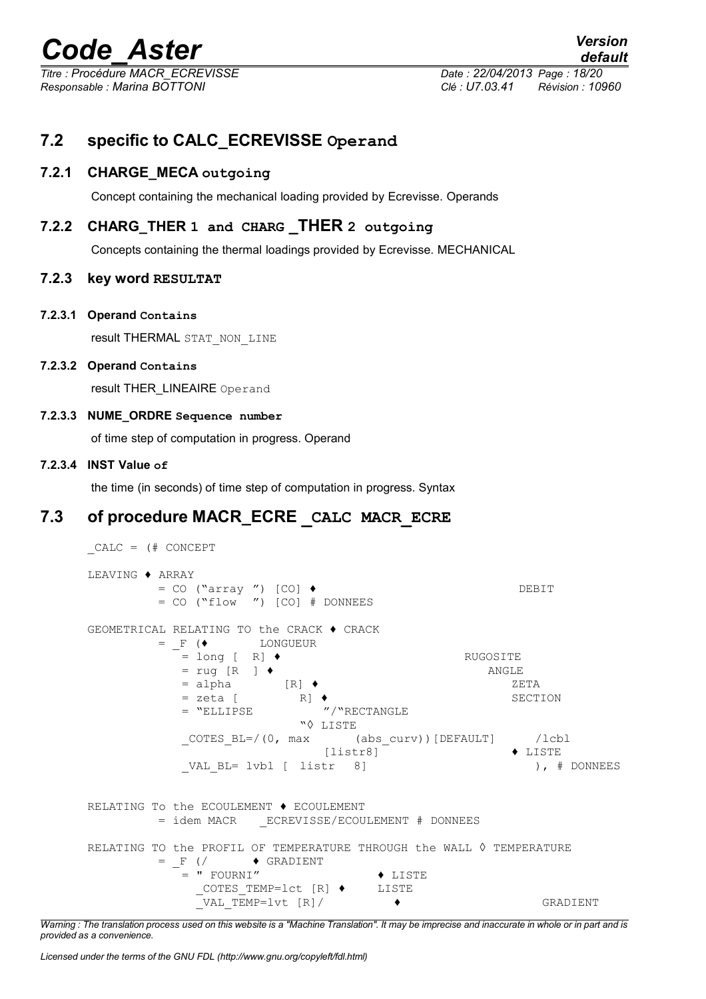*Titre : Procédure MACR\_ECREVISSE Date : 22/04/2013 Page : 18/20 Responsable : Marina BOTTONI Clé : U7.03.41 Révision : 10960*

## <span id="page-17-1"></span>**7.2 specific to CALC\_ECREVISSE Operand**

#### **7.2.1 CHARGE\_MECA outgoing**

Concept containing the mechanical loading provided by Ecrevisse. Operands

#### **7.2.2 CHARG\_THER 1 and CHARG \_THER 2 outgoing**

Concepts containing the thermal loadings provided by Ecrevisse. MECHANICAL

#### **7.2.3 key word RESULTAT**

**7.2.3.1 Operand Contains**

result THERMAL STAT\_NON\_LINE

#### **7.2.3.2 Operand Contains**

result THER\_LINEAIRE Operand

#### **7.2.3.3 NUME\_ORDRE Sequence number**

of time step of computation in progress. Operand

#### **7.2.3.4 INST Value of**

<span id="page-17-0"></span>the time (in seconds) of time step of computation in progress. Syntax

### **7.3 of procedure MACR\_ECRE \_CALC MACR\_ECRE**

```
_CALC = (# CONCEPT
LEAVING ♦ ARRAY
       = CO ("array ") [CO] ♦ DEBIT
       = CO ("flow ") [CO] # DONNEES
GEOMETRICAL RELATING TO the CRACK ♦ CRACK
       = F (\blacklozenge LONGUEUR
          \bar{z} = long [ R] \bullet RUGOSITE
          = rug [R ] \bullet<br>= alpha [R] \bullet ANGLE<br>ZE
          = alpha [R] ♦ ZETA
          = zeta [ R] ♦ SECTION
          = "ELLIPSE "/"RECTANGLE
                       "◊ LISTE
          COTES BL=/(0, max (abs curv))[DEFAULT] /lcbl
                          [listr8] ♦ LISTE
          VAL BL= lvbl [ listr 8] ), # DONNEES
RELATING To the ECOULEMENT ♦ ECOULEMENT
       = idem MACR _ECREVISSE/ECOULEMENT # DONNEES
RELATING TO the PROFIL OF TEMPERATURE THROUGH the WALL ◊ TEMPERATURE
       = F (/ \leftrightarrow GRADIENT
          = " FOURNI" ♦ LISTE
             _COTES_TEMP=lct [R] ♦ LISTE
             _VAL_TEMP=lvt [R]/ ♦ GRADIENT
```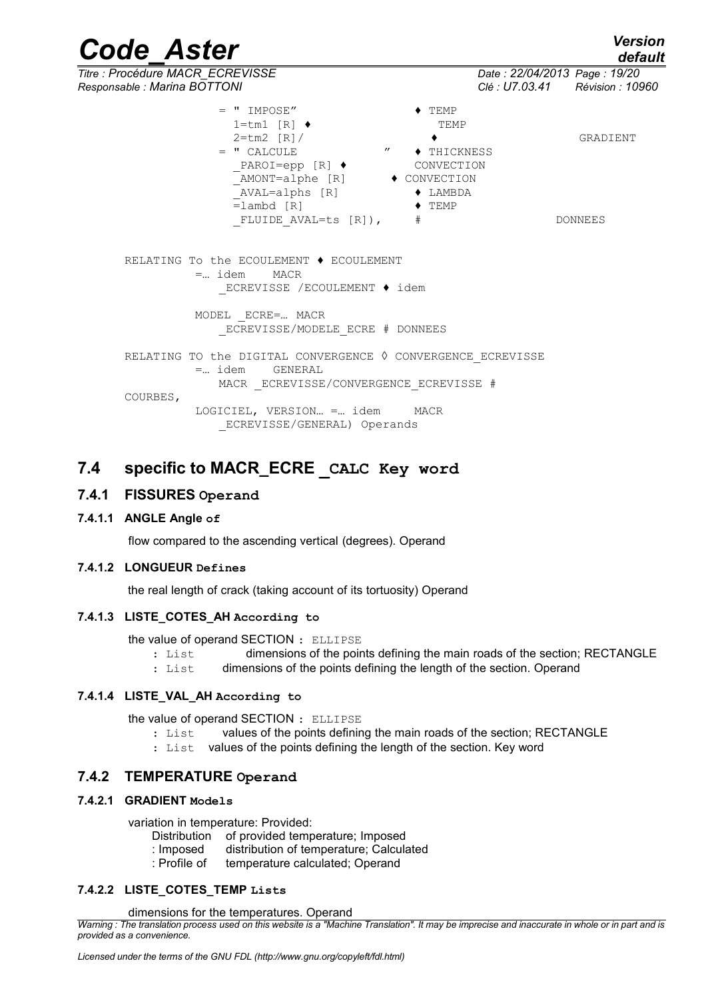*Code\_Aster Version default*

*Titre : Procédure MACR\_ECREVISSE Date : 22/04/2013 Page : 19/20*

| Responsable : Marina BOTTONI                                                                                                                                                                                                                                                                 | Clé : U7.03.41 Révision : 10 |                     |
|----------------------------------------------------------------------------------------------------------------------------------------------------------------------------------------------------------------------------------------------------------------------------------------------|------------------------------|---------------------|
| $=$ " impose"<br>$1 = \text{tm1}$ $\lceil R \rceil$ $\blacklozenge$<br>$2 = tm2$ $\lceil R \rceil /$<br>$=$ " CALCULE $\qquad$ " $\qquad$ THICKNESS<br>_PAROI=epp [R] ♦ CONVECTION<br>AMONT=alphe [R] ♦ CONVECTION<br>NVAL=alphs [R] → LAMBDA<br>=lambd [R] → TEMP<br>FLUIDE AVAL=ts [R]), # | $\blacklozenge$ TEMP<br>TEMP | GRADIENT<br>DONNEES |
| RELATING To the ECOULEMENT ♦ ECOULEMENT<br>$=$ idem MACR<br>ECREVISSE /ECOULEMENT ♦ idem                                                                                                                                                                                                     |                              |                     |
| MODEL ECRE= MACR<br>ECREVISSE/MODELE ECRE # DONNEES                                                                                                                                                                                                                                          |                              |                     |
| RELATING TO the DIGITAL CONVERGENCE $\Diamond$ CONVERGENCE ECREVISSE<br>$=$ idem $GENERAL$<br>MACR ECREVISSE/CONVERGENCE ECREVISSE #                                                                                                                                                         |                              |                     |
| COURBES,<br>LOGICIEL, VERSION = idem MACR<br>ECREVISSE/GENERAL) Operands                                                                                                                                                                                                                     |                              |                     |

### <span id="page-18-0"></span>**7.4 specific to MACR\_ECRE \_CALC Key word**

#### **7.4.1 FISSURES Operand**

#### **7.4.1.1 ANGLE Angle of**

flow compared to the ascending vertical (degrees). Operand

#### **7.4.1.2 LONGUEUR Defines**

the real length of crack (taking account of its tortuosity) Operand

#### **7.4.1.3 LISTE\_COTES\_AH According to**

the value of operand SECTION : ELLIPSE

- : List dimensions of the points defining the main roads of the section; RECTANGLE
- : List dimensions of the points defining the length of the section. Operand

#### **7.4.1.4 LISTE\_VAL\_AH According to**

the value of operand SECTION : ELLIPSE

- : List values of the points defining the main roads of the section; RECTANGLE
- : List values of the points defining the length of the section. Key word

#### **7.4.2 TEMPERATURE Operand**

#### **7.4.2.1 GRADIENT Models**

variation in temperature: Provided:

- Distribution of provided temperature; Imposed
- : Imposed distribution of temperature; Calculated
- : Profile of temperature calculated; Operand

#### **7.4.2.2 LISTE\_COTES\_TEMP Lists**

dimensions for the temperatures. Operand